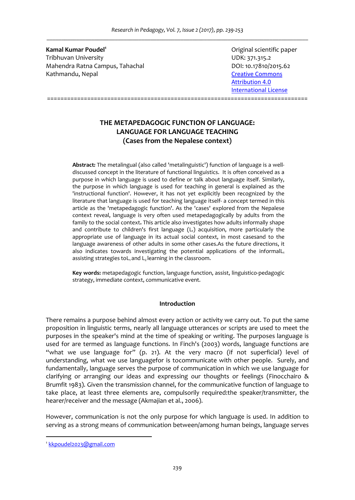**Kamal Kumar Poudel<sup>1</sup>** Tribhuvan University UDK: 371.315.2 Mahendra Ratna Campus, Tahachal DOI: 10.17810/2015.62 Kathmandu, Nepal Creative Commons Creative Commons

Original scientific paper Attribution 4.0 International License

==============================================================================

# **THE METAPEDAGOGIC FUNCTION OF LANGUAGE: LANGUAGE FOR LANGUAGE TEACHING (Cases from the Nepalese context)**

**Abstract***:* The metalingual (also called 'metalinguistic') function of language is a welldiscussed concept in the literature of functional linguistics. It is often conceived as a purpose in which language is used to define or talk about language itself. Similarly, the purpose in which language is used for teaching in general is explained as the 'instructional function'. However, it has not yet explicitly been recognized by the literature that language is used for teaching language itself- a concept termed in this article as the 'metapedagogic function'. As the 'cases' explored from the Nepalese context reveal, language is very often used metapedagogically by adults from the family to the social context**.** This article also investigates how adults informally shape and contribute to children's first language  $(L<sub>1</sub>)$  acquisition, more particularly the appropriate use of language in its actual social context, in most casesand to the language awareness of other adults in some other cases.As the future directions, it also indicates towards investigating the potential applications of the informalL<sub>1</sub> assisting strategies to  $L_1$  and  $L_2$  learning in the classroom.

**Key words:** metapedagogic function, language function, assist, linguistico-pedagogic strategy, immediate context, communicative event.

#### **Introduction**

There remains a purpose behind almost every action or activity we carry out. To put the same proposition in linguistic terms, nearly all language utterances or scripts are used to meet the purposes in the speaker's mind at the time of speaking or writing. The purposes language is used for are termed as language functions. In Finch's (2003) words, language functions are "what we use language for" (p. 21). At the very macro (if not superficial) level of understanding, what we use languagefor is tocommunicate with other people. Surely, and fundamentally, language serves the purpose of communication in which we use language for clarifying or arranging our ideas and expressing our thoughts or feelings (Finocchairo & Brumfit 1983). Given the transmission channel, for the communicative function of language to take place, at least three elements are, compulsorily required:the speaker/transmitter, the hearer/receiver and the message (Akmajian et al., 2006).

However, communication is not the only purpose for which language is used. In addition to serving as a strong means of communication between/among human beings, language serves

l

<sup>1</sup> kkpoudel2023@gmail.com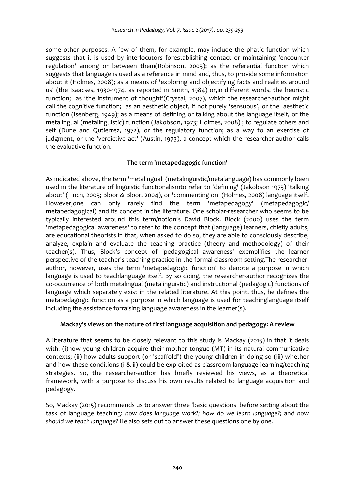some other purposes. A few of them, for example, may include the phatic function which suggests that it is used by interlocutors forestablishing contact or maintaining 'encounter regulation' among or between them(Robinson, 2003); as the referential function which suggests that language is used as a reference in mind and, thus, to provide some information about it (Holmes, 2008); as a means of 'exploring and objectifying facts and realities around us' (the Isaacses, 1930-1974, as reported in Smith, 1984) or,in different words, the heuristic function; as 'the instrument of thought'(Crystal, 2007), which the researcher-author might call the cognitive function; as an aesthetic object, if not purely 'sensuous', or the aesthetic function (Isenberg, 1949); as a means of defining or talking about the language itself, or the metalingual (metalinguistic) function (Jakobson, 1973; Holmes, 2008) ; to regulate others and self (Dune and Qutierrez, 1972), or the regulatory function; as a way to an exercise of judgment, or the 'verdictive act' (Austin, 1973), a concept which the researcher-author calls the evaluative function.

### **The term 'metapedagogic function'**

As indicated above, the term 'metalingual' (metalinguistic/metalanguage) has commonly been used in the literature of linguistic functionalismto refer to 'defining' (Jakobson 1973) 'talking about' (Finch, 2003; Bloor & Bloor, 2004), or 'commenting on' (Holmes, 2008) language itself. However,one can only rarely find the term 'metapedagogy' (metapedagogic/ metapedagogical) and its concept in the literature. One scholar-researcher who seems to be typically interested around this term/notionis David Block. Block (2000) uses the term 'metapedagogical awareness' to refer to the concept that (language) learners, chiefly adults, are educational theorists in that, when asked to do so, they are able to consciously describe, analyze, explain and evaluate the teaching practice (theory and methodology) of their teacher(s). Thus, Block's concept of 'pedagogical awareness' exemplifies the learner perspective of the teacher's teaching practice in the formal classroom setting.The researcherauthor, however, uses the term 'metapedagogic function' to denote a purpose in which language is used to teachlanguage itself. By so doing, the researcher-author recognizes the co-occurrence of both metalingual (metalinguistic) and instructional (pedagogic) functions of language which separately exist in the related literature. At this point, thus, he defines the metapedagogic function as a purpose in which language is used for teachinglanguage itself including the assistance forraising language awareness in the learner(s).

### **Mackay's views on the nature of first language acquisition and pedagogy: A review**

A literature that seems to be closely relevant to this study is Mackay (2015) in that it deals with: (i)how young children acquire their mother tongue (MT) in its natural communicative contexts; (ii) how adults support (or 'scaffold') the young children in doing so (iii) whether and how these conditions (i & ii) could be exploited as classroom language learning/teaching strategies. So, the researcher-author has briefly reviewed his views, as a theoretical framework, with a purpose to discuss his own results related to language acquisition and pedagogy.

So, Mackay (2015) recommends us to answer three 'basic questions' before setting about the task of language teaching: *how does language work?; how do we learn language?;* and *how should we teach language?* He also sets out to answer these questions one by one.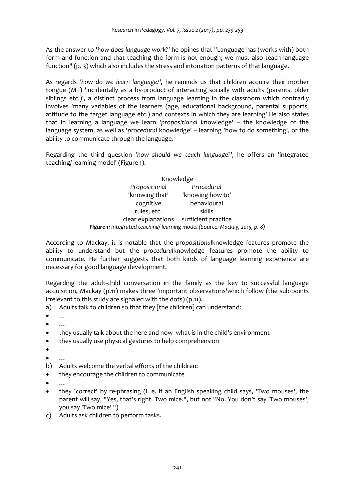As the answer to '*how does language work?'* he opines that "Language has (works with) both form and function and that teaching the form is not enough; we must also teach language function" (p. 3) which also includes the stress and intonation patterns of that language.

As regards '*how do we learn language?',* he reminds us that children acquire their mother tongue (MT) 'incidentally as a by-product of interacting socially with adults (parents, older siblings etc.)', a distinct process from language learning in the classroom which contrarily involves 'many variables of the learners (age, educational background, parental supports, attitude to the target language etc.) and contexts in which they are learning'.He also states that in learning a language we learn '*propositional* knowledge' – the knowledge of the language system, as well as '*procedural* knowledge' – learning 'how to do something', or the ability to communicate through the language.

Regarding the third question '*how should we teach language?'*, he offers an 'integrated teaching/ learning model' (Figure 1):

> Knowledge *Propositional Procedural*  'knowing that' cognitive rules, etc. clear explanations sufficient practice 'knowing how to' behavioural skills *Figure 1: Integrated teaching/ learning model (Source: Mackay, 2015, p. 8)*

According to Mackay, it is notable that the *propositional*knowledge features promote the ability to understand but the *procedural*knowledge features promote the ability to communicate. He further suggests that both kinds of language learning experience are necessary for good language development.

Regarding the adult-child conversation in the family as the key to successful language acquisition, Mackay (p.11) makes three 'important observations'which follow (the sub-points irrelevant to this study are signaled with the dots) (p.11).

- a) Adults talk to children so that they [the children] can understand:
- $\ddotsc$
- …
- they usually talk about the here and now- what is in the child's environment
- they usually use physical gestures to help comprehension
- …
- …
- b) Adults welcome the verbal efforts of the children:
- they encourage the children to communicate
- …
- they 'correct' by re-phrasing (i. e. if an English speaking child says, 'Two mouses', the parent will say, "Yes, that's right. Two mice.", but not "No. You don't say 'Two mouses', you say 'Two mice' ")
- c) Adults ask children to perform tasks.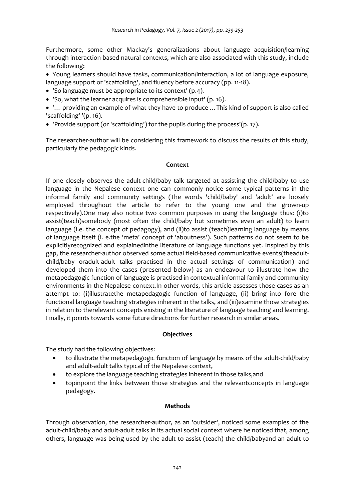Furthermore, some other Mackay's generalizations about language acquisition/learning through interaction-based natural contexts, which are also associated with this study, include the following:

- Young learners should have tasks, communication/interaction, a lot of language exposure, language support or 'scaffolding', and fluency before accuracy (pp. 11-18).
- 'So language must be appropriate to its context' (p.4).
- 'So, what the learner acquires is comprehensible input' (p. 16).
- '… providing an example of what they have to produce …This kind of support is also called 'scaffolding' '(p. 16).
- 'Provide support (or 'scaffolding') for the pupils during the process'(p. 17).

The researcher-author will be considering this framework to discuss the results of this study, particularly the pedagogic kinds.

#### **Context**

If one closely observes the adult-child/baby talk targeted at assisting the child/baby to use language in the Nepalese context one can commonly notice some typical patterns in the informal family and community settings (The words 'child/baby' and 'adult' are loosely employed throughout the article to refer to the young one and the grown-up respectively).One may also notice two common purposes in using the language thus: (i)to assist(teach)somebody (most often the child/baby but sometimes even an adult) to learn language (i.e. the concept of pedagogy), and (ii)to assist (teach)learning language by means of language itself (i. e.the 'meta' concept of 'aboutness'). Such patterns do not seem to be explicitlyrecognized and explainedinthe literature of language functions yet. Inspired by this gap, the researcher-author observed some actual field-based communicative events(theadultchild/baby oradult-adult talks practised in the actual settings of communication) and developed them into the cases (presented below) as an endeavour to illustrate how the metapedagogic function of language is practised in contextual informal family and community environments in the Nepalese context.In other words, this article assesses those cases as an attempt to: (i)illustratethe metapedagogic function of language, (ii) bring into fore the functional language teaching strategies inherent in the talks, and (iii)examine those strategies in relation to therelevant concepts existing in the literature of language teaching and learning. Finally, it points towards some future directions for further research in similar areas.

### **Objectives**

The study had the following objectives:

- to illustrate the metapedagogic function of language by means of the adult-child/baby and adult-adult talks typical of the Nepalese context,
- to explore the language teaching strategies inherent in those talks,and
- topinpoint the links between those strategies and the relevantconcepts in language pedagogy.

### **Methods**

Through observation, the researcher-author, as an 'outsider', noticed some examples of the adult-child/baby and adult-adult talks in its actual social context where he noticed that, among others, language was being used by the adult to assist (teach) the child/babyand an adult to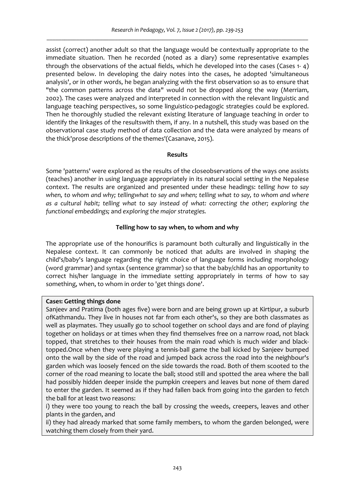assist (correct) another adult so that the language would be contextually appropriate to the immediate situation. Then he recorded (noted as a diary) some representative examples through the observations of the actual fields, which he developed into the cases (Cases 1- 4) presented below. In developing the dairy notes into the cases, he adopted 'simultaneous analysis', or in other words, he began analyzing with the first observation so as to ensure that "the common patterns across the data" would not be dropped along the way (Merriam, 2002). The cases were analyzed and interpreted in connection with the relevant linguistic and language teaching perspectives, so some linguistico-pedagogic strategies could be explored. Then he thoroughly studied the relevant existing literature of language teaching in order to identify the linkages of the resultswith them, if any. In a nutshell, this study was based on the observational case study method of data collection and the data were analyzed by means of the thick'prose descriptions of the themes'(Casanave, 2015).

### **Results**

Some 'patterns' were explored as the results of the closeobservations of the ways one assists (teaches) another in using language appropriately in its natural social setting in the Nepalese context. The results are organized and presented under these headings: *telling how to say when, to whom and why; tellingwhat to say and when; telling what to say, to whom and where as a cultural habit; telling what to say instead of what: correcting the other; exploring the functional embeddings;* and *exploring the major strategies.* 

### **Telling how to say when, to whom and why**

The appropriate use of the honourifics is paramount both culturally and linguistically in the Nepalese context. It can commonly be noticed that adults are involved in shaping the child's/baby's language regarding the right choice of language forms including morphology (word grammar) and syntax (sentence grammar) so that the baby/child has an opportunity to correct his/her language in the immediate setting appropriately in terms of how to say something, when, to whom in order to 'get things done'.

### **Case1: Getting things done**

Sanjeev and Pratima (both ages five) were born and are being grown up at Kirtipur, a suburb ofKathmandu. They live in houses not far from each other's, so they are both classmates as well as playmates. They usually go to school together on school days and are fond of playing together on holidays or at times when they find themselves free on a narrow road, not black topped, that stretches to their houses from the main road which is much wider and blacktopped.Once when they were playing a tennis-ball game the ball kicked by Sanjeev bumped onto the wall by the side of the road and jumped back across the road into the neighbour's garden which was loosely fenced on the side towards the road. Both of them scooted to the corner of the road meaning to locate the ball; stood still and spotted the area where the ball had possibly hidden deeper inside the pumpkin creepers and leaves but none of them dared to enter the garden. It seemed as if they had fallen back from going into the garden to fetch the ball for at least two reasons:

i) they were too young to reach the ball by crossing the weeds, creepers, leaves and other plants in the garden, and

ii) they had already marked that some family members, to whom the garden belonged, were watching them closely from their yard.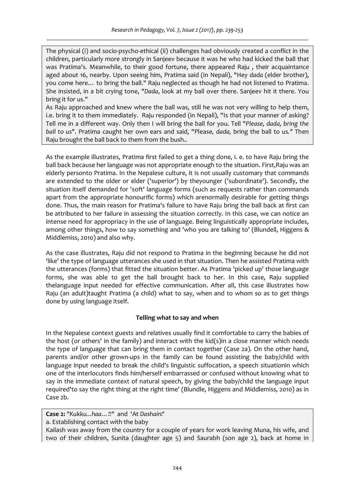The physical (i) and socio-psycho-ethical (ii) challenges had obviously created a conflict in the children, particularly more strongly in Sanjeev because it was he who had kicked the ball that was Pratima's. Meanwhile, to their good fortune, there appeared Raju , their acquaintance aged about 16, nearby. Upon seeing him, Pratima said (in Nepali), "Hey *dada* (elder brother), you come here… to bring the ball." Raju neglected as though he had not listened to Pratima. She insisted, in a bit crying tone, "*Dada*, look at my ball over there. Sanjeev hit it there. You bring it for us."

As Raju approached and knew where the ball was, still he was not very willing to help them, i.e. bring it to them immediately. Raju responded (in Nepali), "Is that your manner of asking? Tell me in a different way. Only then I will bring the ball for you. Tell "*Please, dada, bring the ball to us*". Pratima caught her own ears and said, "Please*, dada,* bring the ball to us*."* Then Raju brought the ball back to them from the bush..

As the example illustrates, Pratima first failed to get a thing done, i. e. to have Raju bring the ball back because her language was not appropriate enough to the situation. First,Raju was an elderly personto Pratima. In the Nepalese culture, it is not usually customary that commands are extended to the older or elder ('superior') by theyounger ('subordinate'). Secondly, the situation itself demanded for 'soft' language forms (such as requests rather than commands apart from the appropriate honourific forms) which arenormally desirable for getting things done. Thus, the main reason for Pratima's failure to have Raju bring the ball back at first can be attributed to her failure in assessing the situation correctly. In this case, we can notice an intense need for appropriacy in the use of language. Being linguistically appropriate includes, among other things, how to say something and 'who you are talking to' (Blundell, Higgens & Middlemiss, 2010) and also why.

As the case illustrates, Raju did not respond to Pratima in the beginning because he did not 'like' the type of language utterances she used in that situation. Then he assisted Pratima with the utterances (forms) that fitted the situation better. As Pratima 'picked up' those language forms, she was able to get the ball brought back to her. In this case, Raju supplied thelanguage input needed for effective communication. After all, this case illustrates how Raju (an adult)taught Pratima (a child) what to say, when and to whom so as to get things done by using language itself.

### **Telling what to say and when**

In the Nepalese context guests and relatives usually find it comfortable to carry the babies of the host (or others' in the family) and interact with the kid(s)in a close manner which needs the type of language that can bring them in contact together (Case 2a). On the other hand, parents and/or other grown-ups in the family can be found assisting the baby/child with language input needed to break the child's linguistic suffocation, a speech situationin which one of the interlocutors finds him/herself embarrassed or confused without knowing what to say in the immediate context of natural speech, by giving the baby/child the language input required'to say the right thing at the right time' (Blundle, Higgens and Middlemiss, 2010) as in Case 2b.

**Case 2:** *"Kukku...haa…!!"* and 'At *Dashain!*'

a. Establishing contact with the baby

Kailash was away from the country for a couple of years for work leaving Muna, his wife, and two of their children, Sunita (daughter age 5) and Saurabh (son age 2), back at home in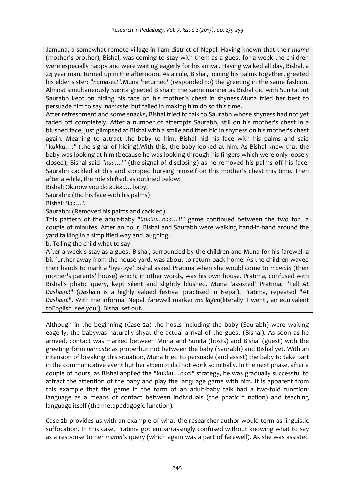Jamuna, a somewhat remote village in Ilam district of Nepal. Having known that their *mama* (mother's brother), Bishal, was coming to stay with them as a guest for a week the children were especially happy and were waiting eagerly for his arrival. Having walked all day, Bishal, a 24 year man, turned up in the afternoon. As a rule, Bishal, joining his palms together, greeted his elder sister: *"namaste!".*Muna 'returned' (responded to) the greeting in the same fashion. Almost simultaneously Sunita greeted Bishalin the same manner as Bishal did with Sunita but Saurabh kept on hiding his face on his mother's chest in shyness.Muna tried her best to persuade him to say *'namaste'* but failed in making him do so this time.

After refreshment and some snacks, Bishal tried to talk to Saurabh whose shyness had not yet faded off completely. After a number of attempts Saurabh, still on his mother's chest in a blushed face, just glimpsed at Bishal with a smile and then hid in shyness on his mother's chest again. Meaning to attract the baby to him, Bishal hid his face with his palms and said *"kukku…!"* (the signal of hiding).With this, the baby looked at him. As Bishal knew that the baby was looking at him (because he was looking through his fingers which were only loosely closed), Bishal said *"haa…!"* (the signal of disclosing) as he removed his palms off his face. Saurabh cackled at this and stopped burying himself on this mother's chest this time. Then after a while, the role shifted, as outlined below:

Bishal: Ok,now you do *kukku…*baby!

Saurabh: (Hid his face with his palms)

Bishal: *Haa…!!*

Saurabh: (Removed his palms and cackled)

This pattern of the adult-baby *"kukku...haa…!!"* game continued between the two for a couple of minutes. After an hour, Bishal and Saurabh were walking hand-in-hand around the yard talking in a simplified way and laughing.

b. Telling the child what to say

After a week's stay as a guest Bishal, surrounded by the children and Muna for his farewell a bit further away from the house yard, was about to return back home. As the children waved their hands to mark a 'bye-bye' Bishal asked Pratima when she would come to *mawala* (their mother's parents' house) which, in other words, was his own house. Pratima, confused with Bishal's phatic query, kept silent and slightly blushed. Muna 'assisted' Pratima, "Tell *At Dashain!!*" (*Dashain* is a highly valued festival practised in Nepal). Pratima, repeated "At *Dashain*!". With the informal Nepali farewell marker *ma lagen*(literally 'I went', an equivalent toEnglish 'see you'), Bishal set out.

Although in the beginning (Case 2a) the hosts including the baby (Saurabh) were waiting eagerly, the babywas naturally shyat the actual arrival of the guest (Bishal). As soon as he arrived, contact was marked between Muna and Sunita (hosts) and Bishal (guest) with the greeting form *namaste* as properbut not between the baby (Saurabh) and Bishal yet. With an intension of breaking this situation, Muna tried to persuade (and assist) the baby to take part in the communicative event but her attempt did not work so initially. In the next phase, after a couple of hours, as Bishal applied the *"kukku…haa!"* strategy, he was gradually successful to attract the attention of the baby and play the language game with him. It is apparent from this example that the game in the form of an adult-baby talk had a two-fold function: language as a means of contact between individuals (the phatic function) and teaching language itself (the metapedagogic function).

Case 2b provides us with an example of what the researcher-author would term as linguistic suffocation. In this case, Pratima got embarrassingly confused without knowing what to say as a response to her *mama*'s query (which again was a part of farewell). As she was assisted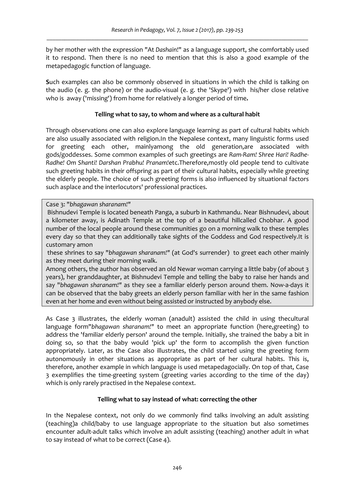by her mother with the expression "At *Dashain*!" as a language support, she comfortably used it to respond. Then there is no need to mention that this is also a good example of the metapedagogic function of language.

**S**uch examples can also be commonly observed in situations in which the child is talking on the audio (e. g. the phone) or the audio-visual (e. g. the 'Skype') with his/her close relative who is away ('missing') from home for relatively a longer period of time**.** 

### **Telling what to say, to whom and where as a cultural habit**

Through observations one can also explore language learning as part of cultural habits which are also usually associated with religion.In the Nepalese context, many linguistic forms used for greeting each other, mainlyamong the old generation,are associated with gods/goddesses. Some common examples of such greetings are *Ram-Ram! Shree Hari! Radhe-Radhe! Om Shanti! Darshan Prabhu! Pranam!*etc.Therefore,mostly old people tend to cultivate such greeting habits in their offspring as part of their cultural habits, especially while greeting the elderly people. The choice of such greeting forms is also influenced by situational factors such asplace and the interlocutors' professional practices.

#### Case 3: "*bhagawan sharanam!"*

 Bishnudevi Temple is located beneath Panga, a suburb in Kathmandu. Near Bishnudevi, about a kilometer away, is Adinath Temple at the top of a beautiful hillcalled Chobhar. A good number of the local people around these communities go on a morning walk to these temples every day so that they can additionally take sights of the Goddess and God respectively.It is customary amon

 these shrines to say "*bhagawan sharanam!"* (at God's surrender) to greet each other mainly as they meet during their morning walk.

Among others, the author has observed an old Newar woman carrying a little baby (of about 3 years), her granddaughter, at Bishnudevi Temple and telling the baby to raise her hands and say "*bhagawan sharanam!"* as they see a familiar elderly person around them. Now-a-days it can be observed that the baby greets an elderly person familiar with her in the same fashion even at her home and even without being assisted or instructed by anybody else.

As Case 3 illustrates, the elderly woman (anadult) assisted the child in using thecultural language form"*bhagawan sharanam!"* to meet an appropriate function (here,greeting) to address the 'familiar elderly person' around the temple. Initially, she trained the baby a bit in doing so, so that the baby would 'pick up' the form to accomplish the given function appropriately. Later, as the Case also illustrates, the child started using the greeting form autonomously in other situations as appropriate as part of her cultural habits. This is, therefore, another example in which language is used metapedagocially. On top of that, Case 3 exemplifies the time-greeting system (greeting varies according to the time of the day) which is only rarely practised in the Nepalese context.

### **Telling what to say instead of what: correcting the other**

In the Nepalese context, not only do we commonly find talks involving an adult assisting (teaching)a child/baby to use language appropriate to the situation but also sometimes encounter adult-adult talks which involve an adult assisting (teaching) another adult in what to say instead of what to be correct (Case 4).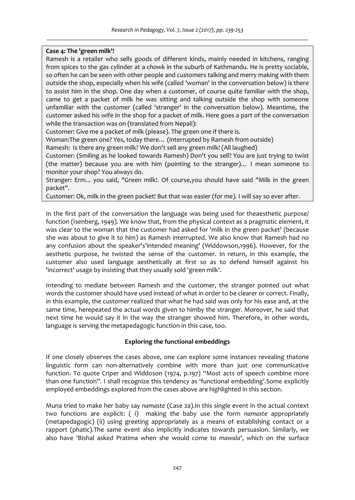### **Case 4: The 'green milk'!**

Ramesh is a retailer who sells goods of different kinds, mainly needed in kitchens, ranging from spices to the gas cylinder at a *chowk* in the suburb of Kathmandu. He is pretty sociable, so often he can be seen with other people and customers talking and merry making with them outside the shop, especially when his wife (called 'woman' in the conversation below) is there to assist him in the shop. One day when a customer, of course quite familiar with the shop, came to get a packet of milk he was sitting and talking outside the shop with someone unfamiliar with the customer (called 'stranger' in the conversation below). Meantime, the customer asked his wife in the shop for a packet of milk. Here goes a part of the conversation while the transaction was on (translated from Nepali):

Customer: Give me a packet of milk (please). The green one if there is.

Woman:The green one? Yes, today there… (interrupted by Ramesh from outside)

Ramesh: Is there any green milk? We don't sell any green milk! (All laughed)

Customer: (Smiling as he looked towards Ramesh) Don't you sell? You are just trying to twist (the matter) because you are with him (pointing to the stranger)… I mean someone to monitor your shop? You always do.

Stranger: Erm... you said, "Green milk!. Of course,you should have said "Milk in the green packet".

Customer: Ok, milk in the green packet! But that was easier (for me). I will say so ever after.

In the first part of the conversation the language was being used for theaesthetic purpose/ function (Isenberg, 1949). We know that, from the physical context as a pragmatic element, it was clear to the woman that the customer had asked for 'milk in the green packet' (because she was about to give it to him) as Ramesh interrupted. We also know that Ramesh had no any confusion about the speaker's'intended meaning' (Widdowson,1996). However, for the aesthetic purpose, he twisted the sense of the customer. In return, in this example, the customer also used language aesthetically at first so as to defend himself against his 'incorrect' usage by insisting that they usually sold 'green milk'.

Intending to mediate between Ramesh and the customer, the stranger pointed out what words the customer should have used instead of what in order to be clearer or correct. Finally, in this example, the customer realized that what he had said was only for his ease and, at the same time, herepeated the actual words given to himby the stranger. Moreover, he said that next time he would say it in the way the stranger showed him. Therefore, in other words, language is serving the metapedagogic function in this case, too.

### **Exploring the functional embeddings**

If one closely observes the cases above, one can explore some instances revealing thatone linguistic form can non-alternatively combine with more than just one communicative function. To quote Criper and Widdoson (1974, p.197) "Most acts of speech combine more than one function". I shall recognize this tendency as 'functional embedding'.Some explicitly employed embeddings explored from the cases above are highlighted in this section.

Muna tried to make her baby say *namaste* (Case 2a).In this single event in the actual context two functions are explicit: ( i) making the baby use the form *namaste* appropriately (metapedagogic) (ii) using greeting appropriately as a means of establishing contact or a rapport (phatic).The same event also implicitly indicates towards persuasion. Similarly, we also have 'Bishal asked Pratima when she would come to *mawala*', which on the surface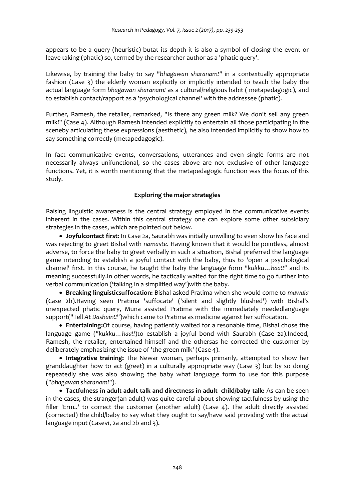appears to be a query (heuristic) butat its depth it is also a symbol of closing the event or leave taking (phatic) so, termed by the researcher-author as a 'phatic query'.

Likewise, by training the baby to say "*bhagawan sharanam!"* in a contextually appropriate fashion (Case 3) the elderly woman explicitly or implicitly intended to teach the baby the actual language form *bhagawan sharanam!* as a cultural/religious habit ( metapedagogic), and to establish contact/rapport as a 'psychological channel' with the addressee (phatic).

Further, Ramesh, the retailer, remarked, "Is there any green milk? We don't sell any green milk!" (Case 4). Although Ramesh intended explicitly to entertain all those participating in the sceneby articulating these expressions (aesthetic), he also intended implicitly to show how to say something correctly (metapedagogic).

In fact communicative events, conversations, utterances and even single forms are not necessarily always unifunctional, so the cases above are not exclusive of other language functions. Yet, it is worth mentioning that the metapedagogic function was the focus of this study.

### **Exploring the major strategies**

Raising linguistic awareness is the central strategy employed in the communicative events inherent in the cases. Within this central strategy one can explore some other subsidiary strategies in the cases, which are pointed out below.

• **Joyfulcontact first**: In Case 2a, Saurabh was initially unwilling to even show his face and was rejecting to greet Bishal with *namaste*. Having known that it would be pointless, almost adverse, to force the baby to greet verbally in such a situation, Bishal preferred the language game intending to establish a joyful contact with the baby, thus to 'open a psychological channel' first. In this course, he taught the baby the language form *"kukku…haa!!"* and its meaning successfully.In other words, he tactically waited for the right time to go further into verbal communication ('talking in a simplified way')with the baby.

• **Breaking linguisticsuffocation:** Bishal asked Pratima when she would come to *mawala* (Case 2b).Having seen Pratima 'suffocate' ('silent and slightly blushed') with Bishal's unexpected phatic query, Muna assisted Pratima with the immediately neededlanguage support("Tell *At Dashain!!*")which came to Pratima as medicine against her suffocation.

• **Entertaining:**Of course, having patiently waited for a resonable time, Bishal chose the language game (*"kukku…haa!!*)to establish a joyful bond with Saurabh (Case 2a).Indeed, Ramesh, the retailer, entertained himself and the othersas he corrected the customer by deliberately emphasizing the issue of 'the green milk' (Case 4).

• **Integrative training:** The Newar woman, perhaps primarily, attempted to show her granddaughter how to act (greet) in a culturally appropriate way (Case 3) but by so doing repeatedly she was also showing the baby what language form to use for this purpose (*"bhagawan sharanam!"*).

• **Tactfulness in adult-adult talk and directness in adult- child/baby talk:** As can be seen in the cases, the stranger(an adult) was quite careful about showing tactfulness by using the filler 'Erm..' to correct the customer (another adult) (Case 4). The adult directly assisted (corrected) the child/baby to say what they ought to say/have said providing with the actual language input (Cases1, 2a and 2b and 3).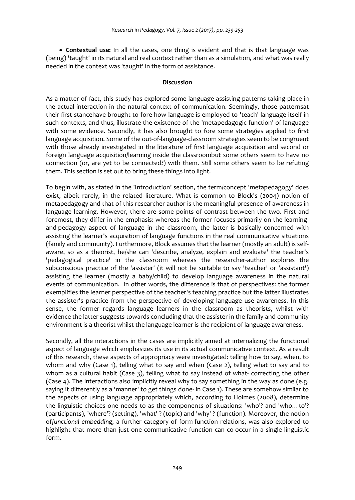• **Contextual use:** In all the cases, one thing is evident and that is that language was (being) 'taught' in its natural and real context rather than as a simulation, and what was really needed in the context was 'taught' in the form of assistance.

### **Discussion**

As a matter of fact, this study has explored some language assisting patterns taking place in the actual interaction in the natural context of communication. Seemingly, those patternsat their first stancehave brought to fore how language is employed to 'teach' language itself in such contexts, and thus, illustrate the existence of the 'metapedagogic function' of language with some evidence. Secondly, it has also brought to fore some strategies applied to first language acquisition. Some of the out-of-language-classroom strategies seem to be congruent with those already investigated in the literature of first language acquisition and second or foreign language acquisition/learning inside the classroombut some others seem to have no connection (or, are yet to be connected?) with them. Still some others seem to be refuting them. This section is set out to bring these things into light.

To begin with, as stated in the 'Introduction' section, the term/concept 'metapedagogy' does exist, albeit rarely, in the related literature. What is common to Block's (2004) notion of metapedagogy and that of this researcher-author is the meaningful presence of awareness in language learning. However, there are some points of contrast between the two. First and foremost, they differ in the emphasis: whereas the former focuses primarily on the learningand-pedagogy aspect of language in the classroom, the latter is basically concerned with assisting the learner's acquisition of language functions in the real communicative situations (family and community). Furthermore, Block assumes that the learner (mostly an adult) is selfaware, so as a theorist, he/she can 'describe, analyze, explain and evaluate' the teacher's 'pedagogical practice' in the classroom whereas the researcher-author explores the subconscious practice of the 'assister' (it will not be suitable to say 'teacher' or 'assistant') assisting the learner (mostly a baby/child) to develop language awareness in the natural events of communication. In other words, the difference is that of perspectives: the former exemplifies the learner perspective of the teacher's teaching practice but the latter illustrates the assister's practice from the perspective of developing language use awareness. In this sense, the former regards language learners in the classroom as theorists, whilst with evidence the latter suggests towards concluding that the assister in the family-and-community environment is a theorist whilst the language learner is the recipient of language awareness.

Secondly, all the interactions in the cases are implicitly aimed at internalizing the functional aspect of language which emphasizes its use in its actual communicative context. As a result of this research, these aspects of appropriacy were investigated: telling how to say, when, to whom and why (Case 1), telling what to say and when (Case 2), telling what to say and to whom as a cultural habit (Case 3), telling what to say instead of what- correcting the other (Case 4). The interactions also implicitly reveal why to say something in the way as done (e.g. saying it differently as a 'manner' to get things done- in Case 1). These are somehow similar to the aspects of using language appropriately which, according to Holmes (2008), determine the linguistic choices one needs to as the components of situations: 'who'? and 'who…to'? (participants), 'where'? (setting), 'what' ? (topic) and 'why' ? (function). Moreover, the notion of*functional embedding*, a further category of form-function relations, was also explored to highlight that more than just one communicative function can co-occur in a single linguistic form.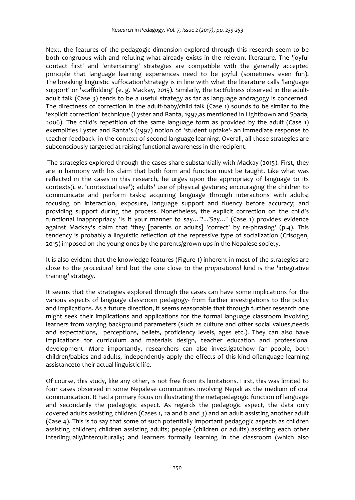Next, the features of the pedagogic dimension explored through this research seem to be both congruous with and refuting what already exists in the relevant literature. The 'joyful contact first' and 'entertaining' strategies are compatible with the generally accepted principle that language learning experiences need to be joyful (sometimes even fun). The'breaking linguistic suffocation'strategy is in line with what the literature calls 'language support' or 'scaffolding' (e. g. Mackay, 2015). Similarly, the tactfulness observed in the adultadult talk (Case 3) tends to be a useful strategy as far as language andragogy is concerned. The directness of correction in the adult-baby/child talk (Case 1) sounds to be similar to the 'explicit correction' technique (Lyster and Ranta, 1997,as mentioned in Lightbown and Spada, 2006). The child's repetition of the same language form as provided by the adult (Case 1) exemplifies Lyster and Ranta's (1997) notion of 'student uptake'- an immediate response to teacher feedback- in the context of second language learning. Overall, all those strategies are subconsciously targeted at raising functional awareness in the recipient.

 The strategies explored through the cases share substantially with Mackay (2015). First, they are in harmony with his claim that both form and function must be taught. Like what was reflected in the cases in this research, he urges upon the appropriacy of language to its contexts(i. e. 'contextual use'); adults' use of physical gestures; encouraging the children to communicate and perform tasks; acquiring language through interactions with adults; focusing on interaction, exposure, language support and fluency before accuracy; and providing support during the process. Nonetheless, the explicit correction on the child's functional inappropriacy 'Is it your manner to say…'?...'Say…' (Case 1) provides evidence against Mackay's claim that 'they [parents or adults] 'correct' by re-phrasing' (p.4). This tendency is probably a linguistic reflection of the repressive type of socialization (Crisogen, 2015) imposed on the young ones by the parents/grown-ups in the Nepalese society.

It is also evident that the knowledge features (Figure 1) inherent in most of the strategies are close to the *procedural* kind but the one close to the *propositional* kind is the 'integrative training' strategy.

It seems that the strategies explored through the cases can have some implications for the various aspects of language classroom pedagogy- from further investigations to the policy and implications. As a future direction, it seems reasonable that through further research one might seek their implications and applications for the formal language classroom involving learners from varying background parameters (such as culture and other social values,needs and expectations, perceptions, beliefs, proficiency levels, ages etc.). They can also have implications for curriculum and materials design, teacher education and professional development. More importantly, researchers can also investigatehow far people, both children/babies and adults, independently apply the effects of this kind oflanguage learning assistanceto their actual linguistic life.

Of course, this study, like any other, is not free from its limitations. First, this was limited to four cases observed in some Nepalese communities involving Nepali as the medium of oral communication. It had a primary focus on illustrating the metapedagogic function of language and secondarily the pedagogic aspect. As regards the pedagogic aspect, the data only covered adults assisting children (Cases 1, 2a and b and 3) and an adult assisting another adult (Case 4). This is to say that some of such potentially important pedagogic aspects as children assisting children; children assisting adults; people (children or adults) assisting each other interlingually/interculturally; and learners formally learning in the classroom (which also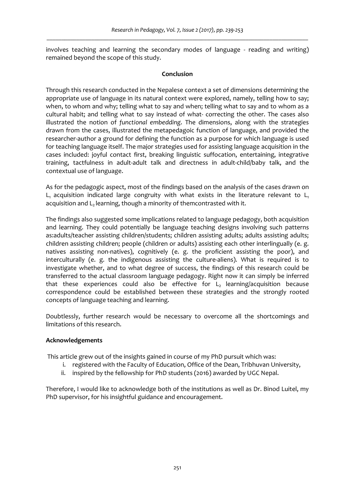involves teaching and learning the secondary modes of language - reading and writing) remained beyond the scope of this study.

### **Conclusion**

Through this research conducted in the Nepalese context a set of dimensions determining the appropriate use of language in its natural context were explored, namely, telling how to say; when, to whom and why; telling what to say and when; telling what to say and to whom as a cultural habit; and telling what to say instead of what- correcting the other. The cases also illustrated the notion of *functional embedding*. The dimensions, along with the strategies drawn from the cases, illustrated the metapedagoic function of language, and provided the researcher-author a ground for defining the function as a purpose for which language is used for teaching language itself. The major strategies used for assisting language acquisition in the cases included: joyful contact first, breaking linguistic suffocation, entertaining, integrative training, tactfulness in adult-adult talk and directness in adult-child/baby talk, and the contextual use of language.

As for the pedagogic aspect, most of the findings based on the analysis of the cases drawn on  $L_1$  acquisition indicated large congruity with what exists in the literature relevant to  $L_1$ acquisition and  $L<sub>2</sub>$  learning, though a minority of themcontrasted with it.

The findings also suggested some implications related to language pedagogy, both acquisition and learning. They could potentially be language teaching designs involving such patterns as:adults/teacher assisting children/students; children assisting adults; adults assisting adults; children assisting children; people (children or adults) assisting each other interlingually (e. g. natives assisting non-natives), cognitively (e. g. the proficient assisting the poor), and interculturally (e. g. the indigenous assisting the culture-aliens). What is required is to investigate whether, and to what degree of success, the findings of this research could be transferred to the actual classroom language pedagogy. Right now it can simply be inferred that these experiences could also be effective for  $L<sub>2</sub>$  learning/acquisition because correspondence could be established between these strategies and the strongly rooted concepts of language teaching and learning.

Doubtlessly, further research would be necessary to overcome all the shortcomings and limitations of this research.

## **Acknowledgements**

This article grew out of the insights gained in course of my PhD pursuit which was:

- i. registered with the Faculty of Education, Office of the Dean, Tribhuvan University,
- ii. inspired by the fellowship for PhD students (2016) awarded by UGC Nepal.

Therefore, I would like to acknowledge both of the institutions as well as Dr. Binod Luitel, my PhD supervisor, for his insightful guidance and encouragement.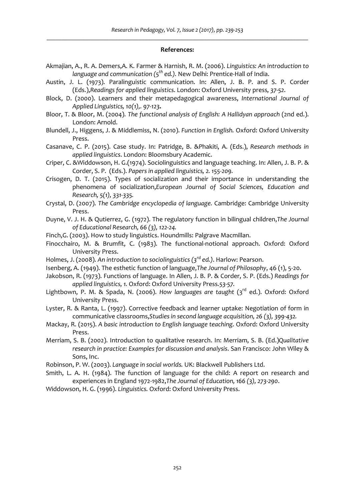#### **References:**

- Akmajian, A., R. A. Demers,A. K. Farmer & Harnish, R. M. (2006). *Linguistics: An introduction to language and communication (5<sup>th</sup> ed.).* New Delhi: Prentice-Hall of India.
- Austin, J. L. (1973). Paralinguistic communication. In: Allen, J. B. P. and S. P. Corder (Eds.),*Readings for applied linguistics*. London: Oxford University press*, 37-52*.
- Block, D. (2000). Learners and their metapedagogical awareness, *International Journal of Applied Linguistics, 10(1),. 97-123***.**
- Bloor, T. & Bloor, M. (2004). *The functional analysis of English: A Hallidyan approach* (2nd ed.). London: Arnold.
- Blundell, J., Higgens, J. & Middlemiss, N. (2010). *Function in English.* Oxford: Oxford University Press.
- Casanave, C. P. (2015). Case study. In: Patridge, B. &Phakiti, A. (Eds.), *Research methods in applied linguistics*. London: Bloomsbury Academic.
- Criper, C. &Widdowson, H. G.(1974). Sociolinguistics and language teaching. In: Allen, J. B. P. & Corder, S. P. (Eds.). *Papers in applied linguistics, 2. 155-209.*
- Crisogen, D. T. (2015). Types of socialization and their importance in understanding the phenomena of socialization,*European Journal of Social Sciences, Education and Research, 5(1), 331-335.*
- Crystal, D. (2007). *The Cambridge encyclopedia of language.* Cambridge: Cambridge University Press.
- Duyne, V. J. H. & Qutierrez, G. (1972). The regulatory function in bilingual children,*The Journal of Educational Research, 66 (3), 122-24.*
- Finch,G. (2003). How to study linguistics. Houndmills: Palgrave Macmillan.
- Finocchairo, M. & Brumfit, C. (1983). The functional-notional approach. Oxford: Oxford University Press.
- Holmes, J. (2008). *An introduction to sociolinguistics (3rd ed.)*. Harlow: Pearson.
- Isenberg, A. (1949). The esthetic function of language,*The Journal of Philosophy*, 46 (1), 5-20.
- Jakobson, R. (1973). Functions of language. In Allen, J. B. P. & Corder, S. P. (Eds.) *Readings for applied linguistics, 1.* Oxford: Oxford University Press.*53-57.*
- Lightbown, P. M. & Spada, N. (2006). *How languages are taught* (3rd ed.). Oxford: Oxford University Press.
- Lyster, R. & Ranta, L. (1997). Corrective feedback and learner uptake: Negotiation of form in communicative classrooms,*Studies in second language acquisition, 26 (3), 399-432.*
- Mackay, R. (2015). *A basic introduction to English language teaching*. Oxford: Oxford University Press.
- Merriam, S. B. (2002). Introduction to qualitative research. In: Merriam, S. B. (Ed.)*Qualitative research in practice: Examples for discussion and analysis*. San Francisco: John Wiley & Sons, Inc.
- Robinson, P. W. (2003). *Language in social worlds.* UK: Blackwell Publishers Ltd.
- Smith, L. A. H. (1984). The function of language for the child: A report on research and experiences in England 1972-1982,*The Journal of Education, 166 (3), 273-290*.
- Widdowson, H. G. (1996). *Linguistics.* Oxford: Oxford University Press.